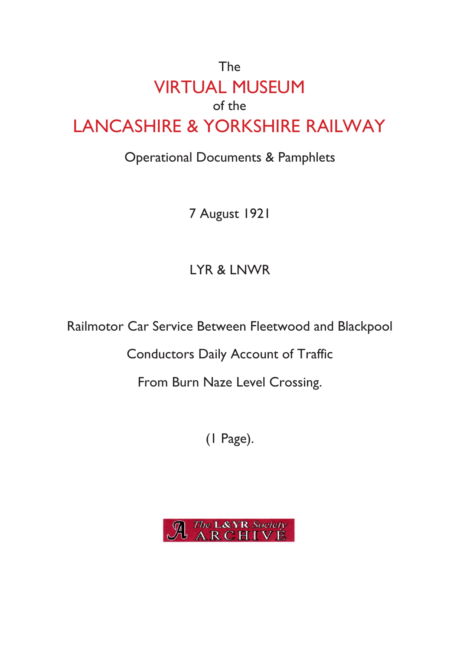## The VIRTUAL MUSEUM of the LANCASHIRE & YORKSHIRE RAILWAY

## Operational Documents & Pamphlets

7 August 1921

## LYR & LNWR

Railmotor Car Service Between Fleetwood and Blackpool

Conductors Daily Account of Traffic

From Burn Naze Level Crossing.

(1 Page).